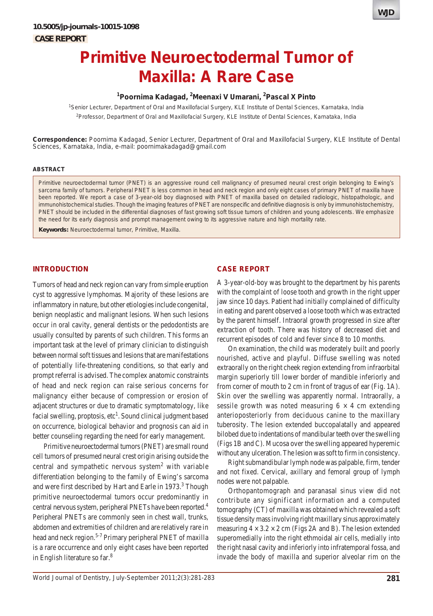

# **Primitive Neuroectodermal Tumor of Maxilla: A Rare Case**

# **1 Poornima Kadagad, 2 Meenaxi V Umarani, 2 Pascal X Pinto**

1 Senior Lecturer, Department of Oral and Maxillofacial Surgery, KLE Institute of Dental Sciences, Karnataka, India 2 Professor, Department of Oral and Maxillofacial Surgery, KLE Institute of Dental Sciences, Karnataka, India

**Correspondence:** Poornima Kadagad, Senior Lecturer, Department of Oral and Maxillofacial Surgery, KLE Institute of Dental Sciences, Karnataka, India, e-mail: poornimakadagad@gmail.com

# **ABSTRACT**

Primitive neuroectodermal tumor (PNET) is an aggressive round cell malignancy of presumed neural crest origin belonging to Ewing's sarcoma family of tumors. Peripheral PNET is less common in head and neck region and only eight cases of primary PNET of maxilla have been reported. We report a case of 3-year-old boy diagnosed with PNET of maxilla based on detailed radiologic, histopathologic, and immunohistochemical studies. Though the imaging features of PNET are nonspecific and definitive diagnosis is only by immunohistochemistry, PNET should be included in the differential diagnoses of fast growing soft tissue tumors of children and young adolescents. We emphasize the need for its early diagnosis and prompt management owing to its aggressive nature and high mortality rate.

**Keywords:** Neuroectodermal tumor, Primitive, Maxilla.

# **INTRODUCTION**

Tumors of head and neck region can vary from simple eruption cyst to aggressive lymphomas. Majority of these lesions are inflammatory in nature, but other etiologies include congenital, benign neoplastic and malignant lesions. When such lesions occur in oral cavity, general dentists or the pedodontists are usually consulted by parents of such children. This forms an important task at the level of primary clinician to distinguish between normal soft tissues and lesions that are manifestations of potentially life-threatening conditions, so that early and prompt referral is advised. The complex anatomic constraints of head and neck region can raise serious concerns for malignancy either because of compression or erosion of adjacent structures or due to dramatic symptomatology, like facial swelling, proptosis, etc<sup>1</sup>. Sound clinical judgment based on occurrence, biological behavior and prognosis can aid in better counseling regarding the need for early management.

Primitive neuroectodermal tumors (PNET) are small round cell tumors of presumed neural crest origin arising outside the central and sympathetic nervous system<sup>2</sup> with variable differentiation belonging to the family of Ewing's sarcoma and were first described by Hart and Earle in 1973.<sup>3</sup> Though primitive neuroectodermal tumors occur predominantly in central nervous system, peripheral PNETs have been reported.4 Peripheral PNETs are commonly seen in chest wall, trunks, abdomen and extremities of children and are relatively rare in head and neck region.<sup>5-7</sup> Primary peripheral PNET of maxilla is a rare occurrence and only eight cases have been reported in English literature so far.<sup>8</sup>

#### **CASE REPORT**

A 3-year-old-boy was brought to the department by his parents with the complaint of loose tooth and growth in the right upper jaw since 10 days. Patient had initially complained of difficulty in eating and parent observed a loose tooth which was extracted by the parent himself. Intraoral growth progressed in size after extraction of tooth. There was history of decreased diet and recurrent episodes of cold and fever since 8 to 10 months.

On examination, the child was moderately built and poorly nourished, active and playful. Diffuse swelling was noted extraorally on the right cheek region extending from infraorbital margin superiorly till lower border of mandible inferiorly and from corner of mouth to 2 cm in front of tragus of ear (Fig. 1A). Skin over the swelling was apparently normal. Intraorally, a sessile growth was noted measuring  $6 \times 4$  cm extending anterioposteriorly from deciduous canine to the maxillary tuberosity. The lesion extended buccopalatally and appeared bilobed due to indentations of mandibular teeth over the swelling (Figs 1B and C). Mucosa over the swelling appeared hyperemic without any ulceration. The lesion was soft to firm in consistency.

Right submandibular lymph node was palpable, firm, tender and not fixed. Cervical, axillary and femoral group of lymph nodes were not palpable.

Orthopantomograph and paranasal sinus view did not contribute any significant information and a computed tomography (CT) of maxilla was obtained which revealed a soft tissue density mass involving right maxillary sinus approximately measuring  $4 \times 3.2 \times 2$  cm (Figs 2A and B). The lesion extended superomedially into the right ethmoidal air cells, medially into the right nasal cavity and inferiorly into infratemporal fossa, and invade the body of maxilla and superior alveolar rim on the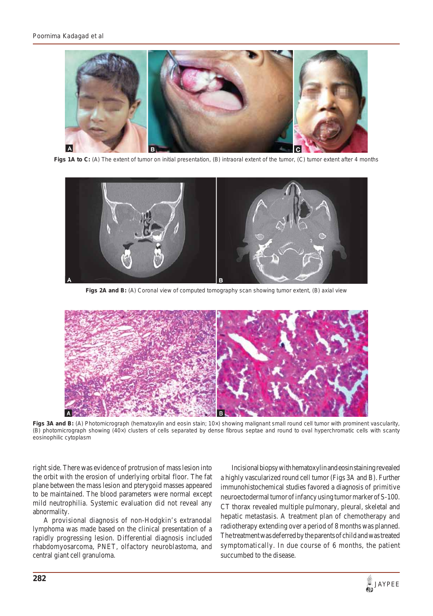

**Figs 1A to C:** (A) The extent of tumor on initial presentation, (B) intraoral extent of the tumor, (C) tumor extent after 4 months



**Figs 2A and B:** (A) Coronal view of computed tomography scan showing tumor extent, (B) axial view



Figs 3A and B: (A) Photomicrograph (hematoxylin and eosin stain; 10x) showing malignant small round cell tumor with prominent vascularity, (B) photomicrograph showing (40×) clusters of cells separated by dense fibrous septae and round to oval hyperchromatic cells with scanty eosinophilic cytoplasm

right side. There was evidence of protrusion of mass lesion into the orbit with the erosion of underlying orbital floor. The fat plane between the mass lesion and pterygoid masses appeared to be maintained. The blood parameters were normal except mild neutrophilia. Systemic evaluation did not reveal any abnormality.

A provisional diagnosis of non-Hodgkin's extranodal lymphoma was made based on the clinical presentation of a rapidly progressing lesion. Differential diagnosis included rhabdomyosarcoma, PNET, olfactory neuroblastoma, and central giant cell granuloma.

Incisional biopsy with hematoxylin and eosin staining revealed a highly vascularized round cell tumor (Figs 3A and B). Further immunohistochemical studies favored a diagnosis of primitive neuroectodermal tumor of infancy using tumor marker of S-100. CT thorax revealed multiple pulmonary, pleural, skeletal and hepatic metastasis. A treatment plan of chemotherapy and radiotherapy extending over a period of 8 months was planned. The treatment was deferred by the parents of child and was treated symptomatically. In due course of 6 months, the patient succumbed to the disease.